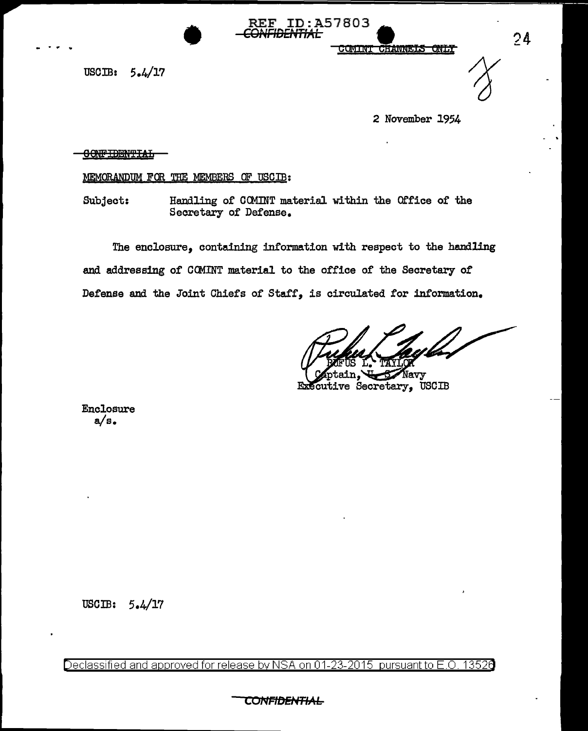**CHANNELS ONLY** <u> CUMINT</u>

 $5.4/17$ USCIB:

2 November 1954

 $24$ 

**CONFIDENTIAL** 

## MEMORANDUM FOR THE MEMBERS OF USCIB:

Subject: Handling of COMINT material within the Office of the Secretary of Defense.

**REF ID:A57803** <del>ïDENTIAL</del>

The enclosure, containing information with respect to the handling and addressing of COMINT material to the office of the Secretary of Defense and the Joint Chiefs of Staff, is circulated for information.

avy Executive Secretary, USCIB

Enclosure  $a/s$ .

# USCIB:  $5.4/17$

13526 Declassified and approved for release by NSA on 01-23-2015 pursuant to E.O.

CONFIDENTIA<del>L</del>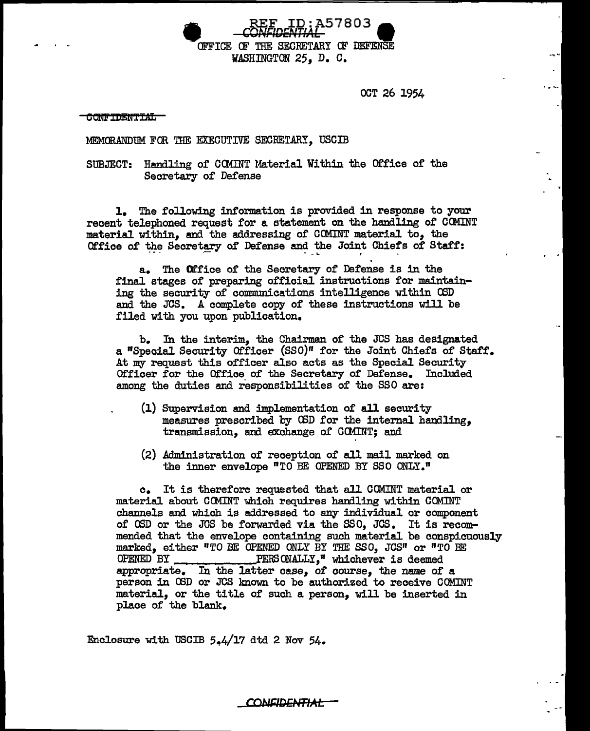**• REE ID:A57803** OFFICE OF THE SECRETARY OF DEFENSE WASHINGTON 25, D. C.

OCT 26 1954

-~.

I."-•

#### **CONFIDENTIAL**

### MEMORANDUM FOR THE EXECUTIVE SECBETARY, USCIB

## SUBJECT: Handling of COMINT Material Within the Office of the Secretary of Defense

1. The following information is provided in response to your recent telephoned request for a statement on the handling of CCMINT material within, and the addressing of OOMINT material to, the Office of the Secretary of Defense and the Joint Chiefs of Staff:

a. The Of.'f'ice of the Secretary of' Defense is in the final stages of preparing official instructions for maintaining the security of communications intelligence within OSD and the JCS. A complete copy of these instructions will be filed with you upon publication.

b. In the interim, the Chairman of the JCS has designated a "Special Security Officer (SSO)" for the Joint Chiefs of Staff. At my request this officer also acts as the Special Security Officer for the Office of the Secretary of Defense. Included among the duties and responsibilities of the SSO are:

- (1) Supervision and implementation of all security measures prescribed by CSD for the internal handling, transmission, and exchange of COMINT; and
- (2) Administration of reception of all mail marked on the inner envelope "TO BE OPENED BY SSO ONLY."

c. It is therefore requested that all COMINT material or material about COMINT which requires handling within COMINT channels and which is addressed to any individual or component of OSD or the JCS be forwarded via the SSO, JCS. It is recommended that the envelope containing such material be conspicuously marked, either "TO BE OPENED ONLY BY THE SSO, JCS" or "TO BE OPENED BY PEBS ON.ALLY," whichever is deemed appropriate. In the latter case, of course, the name of a person in OSD or JCS known to be authorized to receive COMINT material, or the title of such a person, will be inserted in place of the blank.

**CONFIDENTIAL** 

Enclosure with USCIB  $5.4/17$  dtd 2 Nov  $54.$